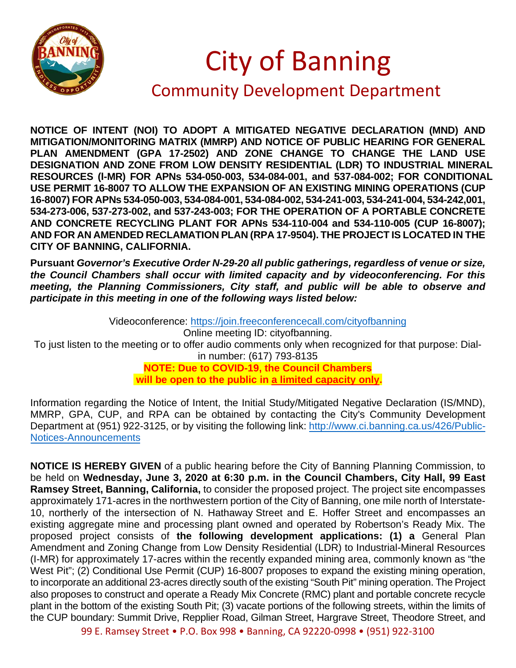

## City of Banning

## Community Development Department

**NOTICE OF INTENT (NOI) TO ADOPT A MITIGATED NEGATIVE DECLARATION (MND) AND MITIGATION/MONITORING MATRIX (MMRP) AND NOTICE OF PUBLIC HEARING FOR GENERAL PLAN AMENDMENT (GPA 17-2502) AND ZONE CHANGE TO CHANGE THE LAND USE DESIGNATION AND ZONE FROM LOW DENSITY RESIDENTIAL (LDR) TO INDUSTRIAL MINERAL RESOURCES (I-MR) FOR APNs 534-050-003, 534-084-001, and 537-084-002; FOR CONDITIONAL USE PERMIT 16-8007 TO ALLOW THE EXPANSION OF AN EXISTING MINING OPERATIONS (CUP 16-8007) FOR APNs 534-050-003, 534-084-001, 534-084-002, 534-241-003, 534-241-004, 534-242,001, 534-273-006, 537-273-002, and 537-243-003; FOR THE OPERATION OF A PORTABLE CONCRETE AND CONCRETE RECYCLING PLANT FOR APNs 534-110-004 and 534-110-005 (CUP 16-8007); AND FOR AN AMENDED RECLAMATION PLAN (RPA 17-9504). THE PROJECT IS LOCATED IN THE CITY OF BANNING, CALIFORNIA.**

**Pursuant** *Governor's Executive Order N-29-20 all public gatherings, regardless of venue or size, the Council Chambers shall occur with limited capacity and by videoconferencing. For this meeting, the Planning Commissioners, City staff, and public will be able to observe and participate in this meeting in one of the following ways listed below:*

Videoconference:<https://join.freeconferencecall.com/cityofbanning> Online meeting ID: cityofbanning. To just listen to the meeting or to offer audio comments only when recognized for that purpose: Dialin number: (617) 793-8135 **NOTE: Due to COVID-19, the Council Chambers will be open to the public in a limited capacity only.** 

Information regarding the Notice of Intent, the Initial Study/Mitigated Negative Declaration (IS/MND), MMRP, GPA, CUP, and RPA can be obtained by contacting the City's Community Development Department at (951) 922-3125, or by visiting the following link: [http://www.ci.banning.ca.us/426/Public-](http://www.ci.banning.ca.us/426/Public-Notices-Announcements)[Notices-Announcements](http://www.ci.banning.ca.us/426/Public-Notices-Announcements)

**NOTICE IS HEREBY GIVEN** of a public hearing before the City of Banning Planning Commission, to be held on **Wednesday, June 3, 2020 at 6:30 p.m. in the Council Chambers, City Hall, 99 East Ramsey Street, Banning, California,** to consider the proposed project. The project site encompasses approximately 171-acres in the northwestern portion of the City of Banning, one mile north of Interstate-10, northerly of the intersection of N. Hathaway Street and E. Hoffer Street and encompasses an existing aggregate mine and processing plant owned and operated by Robertson's Ready Mix. The proposed project consists of **the following development applications: (1) a** General Plan Amendment and Zoning Change from Low Density Residential (LDR) to Industrial-Mineral Resources (I-MR) for approximately 17-acres within the recently expanded mining area, commonly known as "the West Pit"; (2) Conditional Use Permit (CUP) 16-8007 proposes to expand the existing mining operation, to incorporate an additional 23-acres directly south of the existing "South Pit" mining operation. The Project also proposes to construct and operate a Ready Mix Concrete (RMC) plant and portable concrete recycle plant in the bottom of the existing South Pit; (3) vacate portions of the following streets, within the limits of the CUP boundary: Summit Drive, Repplier Road, Gilman Street, Hargrave Street, Theodore Street, and

99 E. Ramsey Street • P.O. Box 998 • Banning, CA 92220-0998 • (951) 922-3100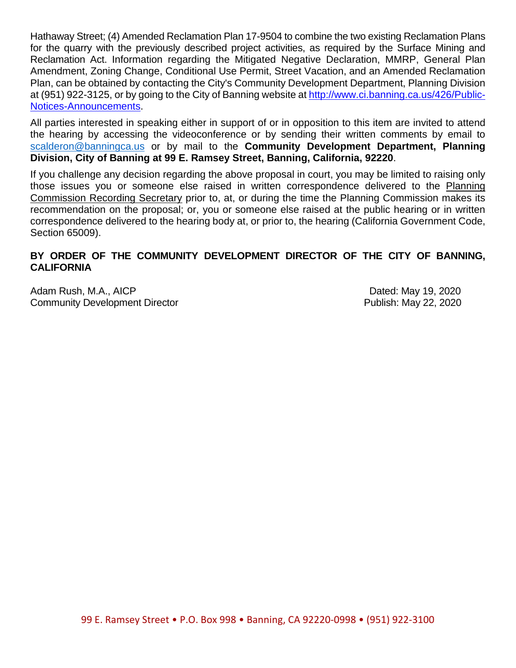Hathaway Street; (4) Amended Reclamation Plan 17-9504 to combine the two existing Reclamation Plans for the quarry with the previously described project activities, as required by the Surface Mining and Reclamation Act. Information regarding the Mitigated Negative Declaration, MMRP, General Plan Amendment, Zoning Change, Conditional Use Permit, Street Vacation, and an Amended Reclamation Plan, can be obtained by contacting the City's Community Development Department, Planning Division at (951) 922-3125, or by going to the City of Banning website a[t http://www.ci.banning.ca.us/426/Public-](http://www.ci.banning.ca.us/426/Public-Notices-Announcements)[Notices-Announcements.](http://www.ci.banning.ca.us/426/Public-Notices-Announcements)

All parties interested in speaking either in support of or in opposition to this item are invited to attend the hearing by accessing the videoconference or by sending their written comments by email to [scalderon@banningca.us](mailto:scalderon@banningca.us) or by mail to the **Community Development Department, Planning Division, City of Banning at 99 E. Ramsey Street, Banning, California, 92220**.

If you challenge any decision regarding the above proposal in court, you may be limited to raising only those issues you or someone else raised in written correspondence delivered to the Planning Commission Recording Secretary prior to, at, or during the time the Planning Commission makes its recommendation on the proposal; or, you or someone else raised at the public hearing or in written correspondence delivered to the hearing body at, or prior to, the hearing (California Government Code, Section 65009).

## **BY ORDER OF THE COMMUNITY DEVELOPMENT DIRECTOR OF THE CITY OF BANNING, CALIFORNIA**

Adam Rush, M.A., AICP **Dated: May 19, 2020** Community Development Director **Publish: May 22, 2020**